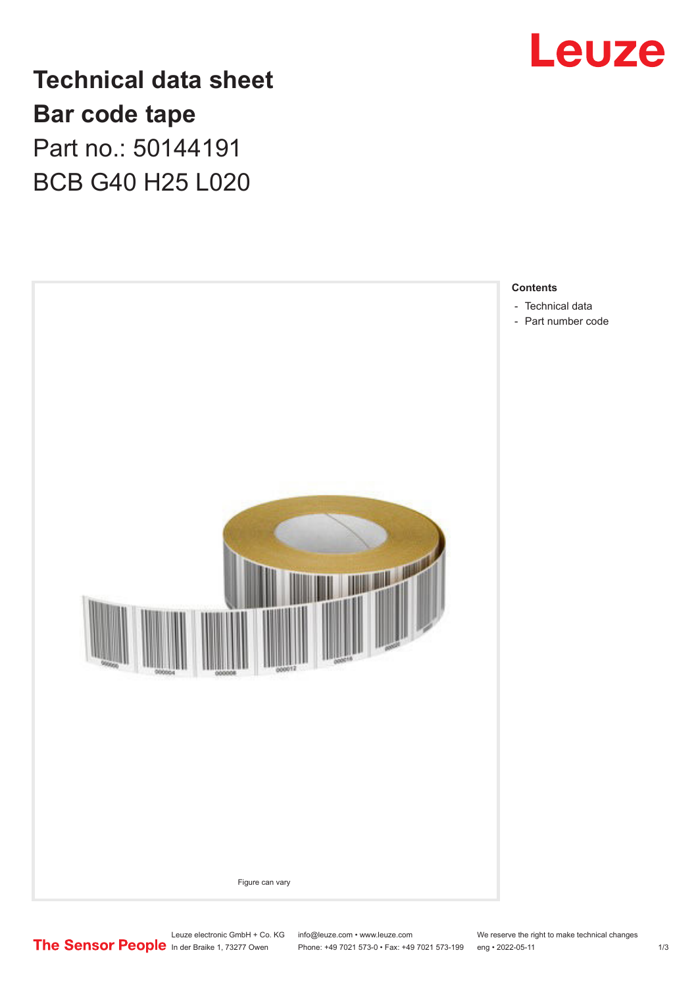

**Technical data sheet Bar code tape** Part no.: 50144191 BCB G40 H25 L020



Leuze electronic GmbH + Co. KG info@leuze.com • www.leuze.com We reserve the right to make technical changes<br>
The Sensor People in der Braike 1, 73277 Owen Phone: +49 7021 573-0 • Fax: +49 7021 573-199 eng • 2022-05-11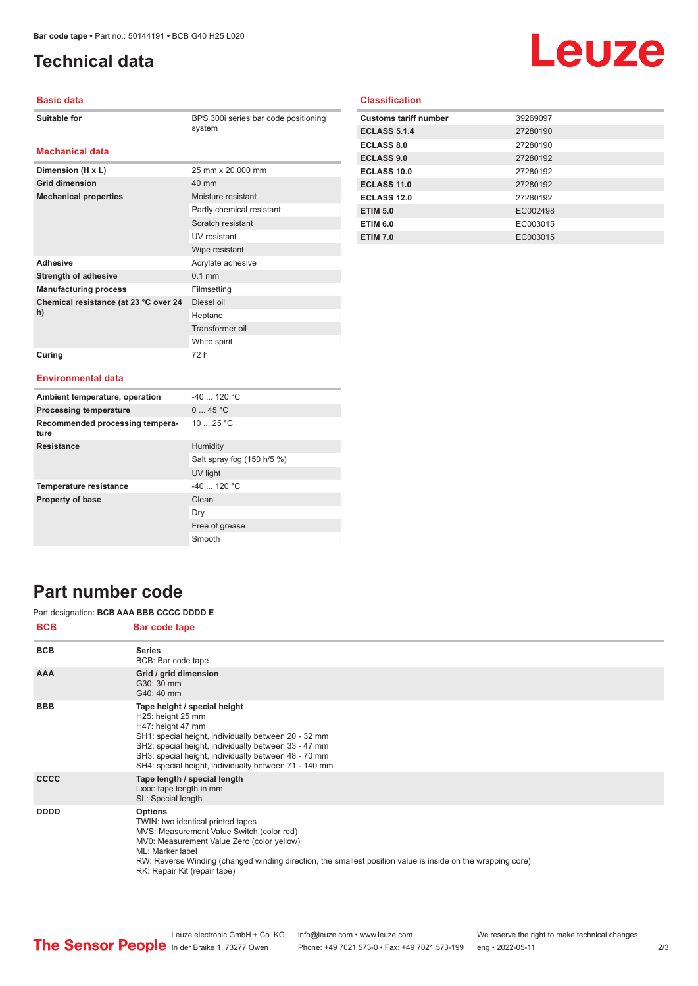# <span id="page-1-0"></span>**Technical data**

# Leuze

#### **Basic data**

| <b>Suitable for</b> |  |
|---------------------|--|
|---------------------|--|

BPS 300i series bar code positioning system

#### **Mechanical data**

| Dimension (H x L)                     | 25 mm x 20,000 mm         |
|---------------------------------------|---------------------------|
| <b>Grid dimension</b>                 | 40 mm                     |
| <b>Mechanical properties</b>          | Moisture resistant        |
|                                       | Partly chemical resistant |
|                                       | Scratch resistant         |
|                                       | <b>IIV</b> resistant      |
|                                       | Wipe resistant            |
| <b>Adhesive</b>                       | Acrylate adhesive         |
| <b>Strength of adhesive</b>           | $0.1$ mm                  |
| <b>Manufacturing process</b>          | Filmsetting               |
| Chemical resistance (at 23 °C over 24 | Diesel oil                |
| h)                                    | Heptane                   |
|                                       | Transformer oil           |
|                                       | White spirit              |
| Curing                                | 72 h                      |

#### **Classification**

| <b>Customs tariff number</b> | 39269097 |
|------------------------------|----------|
| <b>ECLASS 5.1.4</b>          | 27280190 |
| <b>ECLASS 8.0</b>            | 27280190 |
| <b>ECLASS 9.0</b>            | 27280192 |
| ECLASS 10.0                  | 27280192 |
| ECLASS 11.0                  | 27280192 |
| ECLASS 12.0                  | 27280192 |
| <b>ETIM 5.0</b>              | EC002498 |
| <b>ETIM 6.0</b>              | EC003015 |
| <b>ETIM 7.0</b>              | EC003015 |

#### **Environmental data**

| Ambient temperature, operation          | $-40$ 120 °C               |
|-----------------------------------------|----------------------------|
| <b>Processing temperature</b>           | 045 °C                     |
| Recommended processing tempera-<br>ture | 10 $25 °C$                 |
| <b>Resistance</b>                       | Humidity                   |
|                                         | Salt spray fog (150 h/5 %) |
|                                         | UV light                   |
| <b>Temperature resistance</b>           | $-40$ 120 °C               |
| <b>Property of base</b>                 | Clean                      |
|                                         | Dry                        |
|                                         | Free of grease             |
|                                         | Smooth                     |

### **Part number code**

#### Part designation: **BCB AAA BBB CCCC DDDD E**

| <b>BCB</b>  | Bar code tape                                                                                                                                                                                                                                                                                                     |
|-------------|-------------------------------------------------------------------------------------------------------------------------------------------------------------------------------------------------------------------------------------------------------------------------------------------------------------------|
| <b>BCB</b>  | <b>Series</b><br>BCB: Bar code tape                                                                                                                                                                                                                                                                               |
| <b>AAA</b>  | Grid / grid dimension<br>G30: 30 mm<br>G40: 40 mm                                                                                                                                                                                                                                                                 |
| <b>BBB</b>  | Tape height / special height<br>H25: height 25 mm<br>H47: height 47 mm<br>SH1: special height, individually between 20 - 32 mm<br>SH2: special height, individually between 33 - 47 mm<br>SH3: special height, individually between 48 - 70 mm<br>SH4: special height, individually between 71 - 140 mm           |
| <b>CCCC</b> | Tape length / special length<br>Lxxx: tape length in mm<br>SL: Special length                                                                                                                                                                                                                                     |
| <b>DDDD</b> | <b>Options</b><br>TWIN: two identical printed tapes<br>MVS: Measurement Value Switch (color red)<br>MV0: Measurement Value Zero (color yellow)<br>ML: Marker label<br>RW: Reverse Winding (changed winding direction, the smallest position value is inside on the wrapping core)<br>RK: Repair Kit (repair tape) |